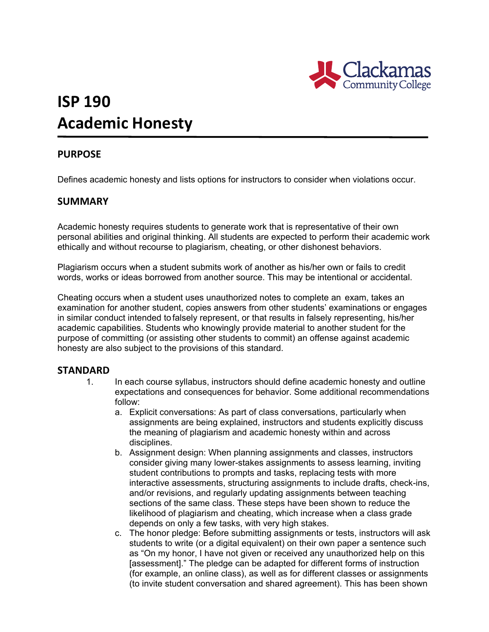

# **ISP 190 Academic Honesty**

## **PURPOSE**

Defines academic honesty and lists options for instructors to consider when violations occur.

#### **SUMMARY**

Academic honesty requires students to generate work that is representative of their own personal abilities and original thinking. All students are expected to perform their academic work ethically and without recourse to plagiarism, cheating, or other dishonest behaviors.

Plagiarism occurs when a student submits work of another as his/her own or fails to credit words, works or ideas borrowed from another source. This may be intentional or accidental.

Cheating occurs when a student uses unauthorized notes to complete an exam, takes an examination for another student, copies answers from other students' examinations or engages in similar conduct intended to falsely represent, or that results in falsely representing, his/her academic capabilities. Students who knowingly provide material to another student for the purpose of committing (or assisting other students to commit) an offense against academic honesty are also subject to the provisions of this standard.

#### **STANDARD**

- 1. In each course syllabus, instructors should define academic honesty and outline expectations and consequences for behavior. Some additional recommendations follow:
	- a. Explicit conversations: As part of class conversations, particularly when assignments are being explained, instructors and students explicitly discuss the meaning of plagiarism and academic honesty within and across disciplines.
	- b. Assignment design: When planning assignments and classes, instructors consider giving many lower-stakes assignments to assess learning, inviting student contributions to prompts and tasks, replacing tests with more interactive assessments, structuring assignments to include drafts, check-ins, and/or revisions, and regularly updating assignments between teaching sections of the same class. These steps have been shown to reduce the likelihood of plagiarism and cheating, which increase when a class grade depends on only a few tasks, with very high stakes.
	- c. The honor pledge: Before submitting assignments or tests, instructors will ask students to write (or a digital equivalent) on their own paper a sentence such as "On my honor, I have not given or received any unauthorized help on this [assessment]." The pledge can be adapted for different forms of instruction (for example, an online class), as well as for different classes or assignments (to invite student conversation and shared agreement). This has been shown